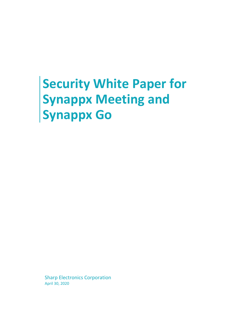# **Security White Paper for Synappx Meeting and Synappx Go**

Sharp Electronics Corporation April 30, 2020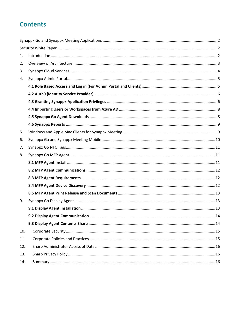# **Contents**

| 1.  |  |
|-----|--|
| 2.  |  |
| 3.  |  |
| 4.  |  |
|     |  |
|     |  |
|     |  |
|     |  |
|     |  |
|     |  |
| 5.  |  |
| 6.  |  |
| 7.  |  |
| 8.  |  |
|     |  |
|     |  |
|     |  |
|     |  |
|     |  |
| 9.  |  |
|     |  |
|     |  |
|     |  |
| 10. |  |
| 11. |  |
| 12. |  |
| 13. |  |
| 14. |  |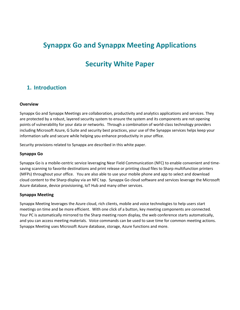# <span id="page-2-1"></span><span id="page-2-0"></span>**Synappx Go and Synappx Meeting Applications**

# **Security White Paper**

# <span id="page-2-2"></span>**1. Introduction**

#### **Overview**

Synappx Go and Synappx Meetings are collaboration, productivity and analytics applications and services. They are protected by a robust, layered security system to ensure the system and its components are not opening points of vulnerability for your data or networks. Through a combination of world-class technology providers including Microsoft Azure, G Suite and security best practices, your use of the Synappx services helps keep your information safe and secure while helping you enhance productivity in your office.

Security provisions related to Synappx are described in this white paper.

#### **Synappx Go**

Synappx Go is a mobile-centric service leveraging Near Field Communication (NFC) to enable convenient and timesaving scanning to favorite destinations and print release or printing cloud files to Sharp multifunction printers (MFPs) throughout your office. You are also able to use your mobile phone and app to select and download cloud content to the Sharp display via an NFC tap. Synappx Go cloud software and services leverage the Microsoft Azure database, device provisioning, IoT Hub and many other services.

#### **Synappx Meeting**

Synappx Meeting leverages the Azure cloud, rich clients, mobile and voice technologies to help users start meetings on time and be more efficient. With one click of a button, key meeting components are connected. Your PC is automatically mirrored to the Sharp meeting room display, the web conference starts automatically, and you can access meeting materials. Voice commands can be used to save time for common meeting actions. Synappx Meeting uses Microsoft Azure database, storage, Azure functions and more.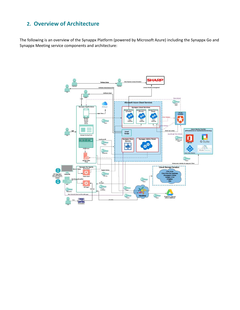# <span id="page-3-0"></span>**2. Overview of Architecture**

The following is an overview of the Synappx Platform (powered by Microsoft Azure) including the Synappx Go and Synappx Meeting service components and architecture:

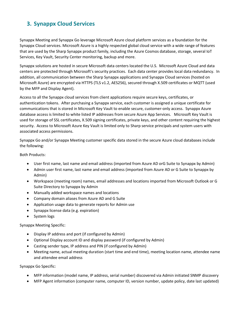# <span id="page-4-0"></span>**3. Synappx Cloud Services**

Synappx Meeting and Synappx Go leverage Microsoft Azure cloud platform services as a foundation for the Synappx Cloud services. Microsoft Azure is a highly respected global cloud service with a wide range of features that are used by the Sharp Synappx product family, including the Azure Cosmos database, storage, several IoT Services, Key Vault, Security Center monitoring, backup and more.

Synappx solutions are hosted in secure Microsoft data centers located the U.S. Microsoft Azure Cloud and data centers are protected through Microsoft's security practices. Each data center provides local data redundancy. In addition, all communication between the Sharp Synappx applications and Synappx Cloud services (hosted on Microsoft Azure) are encrypted via HTTPS (TLS v1.2, AES256), secured through X.509 certificates or MQTT (used by the MFP and Display Agent).

Access to all the Synappx cloud services from client applications require secure keys, certificates, or authentication tokens. After purchasing a Synappx service, each customer is assigned a unique certificate for communications that is stored in Microsoft Key Vault to enable secure, customer-only access. Synappx Azure database access is limited to white listed IP addresses from secure Azure App Services. Microsoft Key Vault is used for storage of SSL certificates, X.509 signing certificates, private keys, and other content requiring the highest security. Access to Microsoft Azure Key Vault is limited only to Sharp service principals and system users with associated access permissions.

Synappx Go and/or Synappx Meeting customer specific data stored in the secure Azure cloud databases include the following:

Both Products:

- User first name, last name and email address (imported from Azure AD orG Suite to Synappx by Admin)
- Admin user first name, last name and email address (imported from Azure AD or G Suite to Synappx by Admin)
- Workspace (meeting room) names, email addresses and locations imported from Microsoft Outlook or G Suite Directory to Synappx by Admin
- Manually added workspace names and locations
- Company domain aliases from Azure AD and G Suite
- Application usage data to generate reports for Admin use
- Synappx license data (e.g. expiration)
- System logs

Synappx Meeting Specific:

- Display IP address and port (if configured by Admin)
- Optional Display account ID and display password (if configured by Admin)
- Casting sender type, IP address and PIN (if configured by Admin)
- Meeting name, actual meeting duration (start time and end time), meeting location name, attendee name and attendee email address

Synappx Go Specific:

- MFP information (model name, IP address, serial number) discovered via Admin initiated SNMP discovery
- MFP Agent information (computer name, computer ID, version number, update policy, date last updated)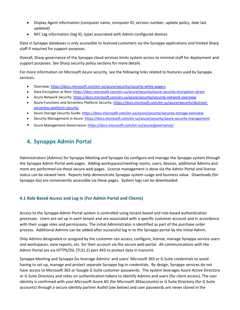- Display Agent information (computer name, computer ID, version number, update policy, date last updated)
- NFC tag information (tag ID, type) associated with Admin configured devices

Data in Synappx databases is only accessible to licensed customers via the Synappx applications and limited Sharp staff if required for support purposes.

Overall, Sharp governance of the Synappx cloud services limits system access to minimal staff for deployment and support purposes. See Sharp security policy sections for more details

For more information on Microsoft Azure security, see the following links related to features used by Synappx services:

- Overview: <https://docs.microsoft.com/en-us/azure/security/security-white-papers>
- Data Encryption at Rest:<https://docs.microsoft.com/en-us/azure/security/azure-security-encryption-atrest>
- Azure Network Security:<https://docs.microsoft.com/en-us/azure/security/security-network-overview>
- Azure Functions and Serverless Platform Security: [https://docs.microsoft.com/en-us/azure/security/abstract](https://docs.microsoft.com/en-us/azure/security/abstract-serverless-platform-security)[serverless-platform-security](https://docs.microsoft.com/en-us/azure/security/abstract-serverless-platform-security)
- Azure Storage Security Guide[: https://docs.microsoft.com/en-us/azure/security/security-storage-overview](https://docs.microsoft.com/en-us/azure/security/security-storage-overview)
- Security Management in Azure[: https://docs.microsoft.com/en-us/azure/security/azure-security-management](https://docs.microsoft.com/en-us/azure/security/azure-security-management)
- Azure Management-Governance: <https://docs.microsoft.com/en-us/azure/governance/>

# <span id="page-5-0"></span>**4. Synappx Admin Portal**

Administrators (Admins) for Synappx Meeting and Synappx Go configure and manage the Synappx system through the Synappx Admin Portal web pages. Adding workspaces/meeting rooms, users, devices, additional Admins and more are performed via these secure web pages. License management is done via the Admin Portal and license status can be viewed here. Reports help demonstrate Synappx system usage and business value. Downloads (for Synappx Go) are conveniently accessible via these pages. System logs can be downloaded.

#### <span id="page-5-1"></span>**4.1 Role Based Access and Log in (For Admin Portal and Clients)**

Access to the Synappx Admin Portal system is controlled using tenant-based and role-based authentication processes. Users are set up in each tenant and are associated with a specific customer account and in accordance with their usage roles and permissions. The initial Administrator is identified as part of the purchase order process. Additional Admins can be added after successful log in to the Synappx portal by the initial Admin.

Only Admins designated or assigned by the customer can access, configure, license, manage Synappx service users and workspaces, view reports, etc. for their account via the secure web portal. All communications with the Admin Portal are via HTTPS/SSL (TLS1.2) port 443 to protect data in transmit.

Synappx Meeting and Synappx Go leverage Admins' and users' Microsoft 365 or G Suite credentials to avoid having to set up, manage and protect separate Synappx log-in credentials. By design, Synappx services do not have access to Microsoft 365 or Google G Suite customer passwords. The system leverages Azure Active Directory or G Suite Directory and relies on authentication tokens to identify Admins and users (for client access). The user identity is confirmed with your Microsoft Azure AD (for Microsoft 365accounts) or G Suite Directory (for G Suite accounts) through a secure identity partner Auth0 (see below) and user passwords are never stored in the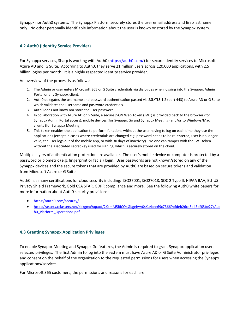Synappx nor Auth0 systems. The Synappx Platform securely stores the user email address and first/last name only. No other personally identifiable information about the user is known or stored by the Synappx system.

#### <span id="page-6-0"></span>**4.2 Auth0 (Identity Service Provider)**

For Synappx services, Sharp is working with Auth0 [\(https://auth0.com/\)](https://auth0.com/) for secure identity services to Microsoft Azure AD and G Suite. According to Auth0, they serve 21 million users across 120,000 applications, with 2.5 billion logins per month. It is a highly respected identity service provider.

An overview of the process is as follows:

- 1. The Admin or user enters Microsoft 365 or G Suite credentials via dialogues when logging into the Synappx Admin Portal or any Synappx client.
- 2. Auth0 delegates the username and password authentication passed via SSL/TLS 1.2 (port 443) to Azure AD or G Suite which validates the username and password credentials.
- 3. Auth0 does not know nor store the user password.
- 4. In collaboration with Azure AD or G Suite, a secure JSON Web Token (JWT) is provided back to the browser (for Synappx Admin Portal access), mobile devices (for Synappx Go and Synappx Meeting) and/or to Windows/Mac clients (for Synappx Meeting).
- 5. This token enables the application to perform functions without the user having to log on each time they use the applications (except in cases where credentials are changed e.g. password needs to be re-entered, user is no longer valid, the user logs out of the mobile app, or with 30 days of inactivity). No one can tamper with the JWT token without the associated secret key used for signing, which is securely stored on the cloud.

Multiple layers of authentication protection are available. The user's mobile device or computer is protected by a password or biometric (e.g. fingerprint or facial) login. User passwords are not known/stored on any of the Synappx devices and the secure tokens that are provided by Auth0 are based on secure tokens and validation from Microsoft Azure or G Suite.

Auth0 has many certifications for cloud security including: ISO27001, ISO27018, SOC 2 Type II, HIPAA BAA, EU-US Privacy Shield Framework, Gold CSA STAR, GDPR compliance and more. See the following Auth0 white papers for more information about Auth0 security provisions:

- <https://auth0.com/security/>
- [https://assets.ctfassets.net/kbkgmx9upatd/2KxmM5BICQ4GKgeIwA0sKu/bee69c73669bfdeb26ca8e43df65be27/Aut](https://assets.ctfassets.net/kbkgmx9upatd/2KxmM5BICQ4GKgeIwA0sKu/bee69c73669bfdeb26ca8e43df65be27/Auth0_Platform_Operations.pdf) [h0\\_Platform\\_Operations.pdf](https://assets.ctfassets.net/kbkgmx9upatd/2KxmM5BICQ4GKgeIwA0sKu/bee69c73669bfdeb26ca8e43df65be27/Auth0_Platform_Operations.pdf)

#### <span id="page-6-1"></span>**4.3 Granting Synappx Application Privileges**

To enable Synappx Meeting and Synappx Go features, the Admin is required to grant Synappx application users selected privileges. The first Admin to log into the system must have Azure AD or G Suite Administrator privileges and consent on the behalf of the organization to the requested permissions for users when accessing the Synappx applications/services.

For Microsoft 365 customers, the permissions and reasons for each are: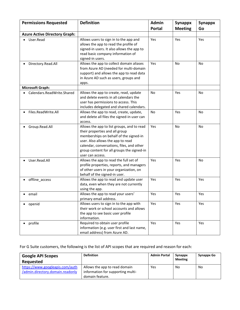| <b>Permissions Requested</b>         | <b>Definition</b>                                                                                                                                                                                                                                                          | <b>Admin</b>  | Synappx        | <b>Synappx</b> |
|--------------------------------------|----------------------------------------------------------------------------------------------------------------------------------------------------------------------------------------------------------------------------------------------------------------------------|---------------|----------------|----------------|
|                                      |                                                                                                                                                                                                                                                                            | <b>Portal</b> | <b>Meeting</b> | Go             |
| <b>Azure Active Directory Graph:</b> |                                                                                                                                                                                                                                                                            |               |                |                |
| User.Read                            | Allows users to sign in to the app and<br>allows the app to read the profile of<br>signed-in users. It also allows the app to<br>read basic company information of<br>signed-in users.                                                                                     | Yes           | Yes            | Yes            |
| Directory.Read.All                   | Allows the app to collect domain aliases<br>from Azure AD (needed for multi-domain<br>support) and allows the app to read data<br>in Azure AD such as users, groups and<br>apps.                                                                                           | Yes           | <b>No</b>      | No             |
| <b>Microsoft Graph:</b>              |                                                                                                                                                                                                                                                                            |               |                |                |
| Calendars.ReadWrite.Shared           | Allows the app to create, read, update<br>and delete events in all calendars the<br>user has permissions to access. This<br>includes delegated and shared calendars.                                                                                                       | No            | Yes            | No             |
| Files.ReadWrite.All                  | Allows the app to read, create, update,<br>and delete all files the signed-in user can<br>access.                                                                                                                                                                          | No            | Yes            | No             |
| Group.Read.All                       | Allows the app to list groups, and to read<br>their properties and all group<br>memberships on behalf of the signed-in<br>user. Also allows the app to read<br>calendar, conversations, files, and other<br>group content for all groups the signed-in<br>user can access. | Yes           | <b>No</b>      | <b>No</b>      |
| User.Read.All                        | Allows the app to read the full set of<br>profile properties, reports, and managers<br>of other users in your organization, on<br>behalf of the signed-in user.                                                                                                            | Yes           | Yes            | No             |
| offline_access                       | Allows the app to read and update user<br>data, even when they are not currently<br>using the app.                                                                                                                                                                         | Yes           | Yes            | Yes            |
| email                                | Allows the app to read your users'<br>primary email address.                                                                                                                                                                                                               | Yes           | Yes            | Yes            |
| openid                               | Allows users to sign in to the app with<br>their work or school accounts and allows<br>the app to see basic user profile<br>information.                                                                                                                                   | Yes           | Yes            | Yes            |
| profile                              | Required to obtain user profile<br>information (e.g. user first and last name,<br>email address) from Azure AD.                                                                                                                                                            | Yes           | Yes            | Yes            |

# For G Suite customers, the following is the list of API scopes that are required and reason for each:

| <b>Google API Scopes</b><br>Requested | <b>Definition</b>                 | <b>Admin Portal</b> | Synappx<br><b>Meeting</b> | Synappx Go |
|---------------------------------------|-----------------------------------|---------------------|---------------------------|------------|
| https://www.googleapis.com/auth       | Allows the app to read domain     | Yes                 | No                        | No         |
| /admin.directory.domain.readonly      | information for supporting multi- |                     |                           |            |
|                                       | domain feature.                   |                     |                           |            |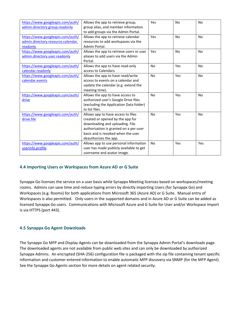| https://www.googleapis.com/auth/   | Allows the app to retrieve group,        | Yes       | <b>No</b> | <b>No</b>      |
|------------------------------------|------------------------------------------|-----------|-----------|----------------|
| admin.directory.group.readonly     | group alias, and member information      |           |           |                |
|                                    | to add groups via the Admin Portal.      |           |           |                |
| https://www.googleapis.com/auth/   | Allows the app to retrieve calendar      | Yes       | <b>No</b> | <b>No</b>      |
| admin.directory.resource.calendar. | resources to add workspaces via the      |           |           |                |
| readonly                           | Admin Portal.                            |           |           |                |
| https://www.googleapis.com/auth/   | Allows the app to retrieve users or user | Yes       | No        | No             |
| admin.directory.user.readonly      | aliases to add users via the Admin       |           |           |                |
|                                    | Portal.                                  |           |           |                |
| https://www.googleapis.com/auth/   | Allows the app to have read-only         | <b>No</b> | Yes       | <b>No</b>      |
| calendar.readonly                  | access to Calendars.                     |           |           |                |
| https://www.googleapis.com/auth/   | Allows the app to have read/write        | <b>No</b> | Yes       | <b>No</b>      |
| calendar.events                    | access to events on a calendar and       |           |           |                |
|                                    | update the calendar (e.g. extend the     |           |           |                |
|                                    | meeting time).                           |           |           |                |
| https://www.googleapis.com/auth/   | Allows the app to have access to         | <b>No</b> | Yes       | <b>No</b>      |
| drive                              | authorized user's Google Drive files     |           |           |                |
|                                    | (excluding the Application Data folder)  |           |           |                |
|                                    | to list files.                           |           |           |                |
| https://www.googleapis.com/auth/   | Allows app to have access to files       | No        | Yes       | N <sub>o</sub> |
| drive.file                         | created or opened by the app for         |           |           |                |
|                                    | downloading and uploading. File          |           |           |                |
|                                    | authorization is granted on a per-user   |           |           |                |
|                                    | basis and is revoked when the user       |           |           |                |
|                                    | deauthorizes the app.                    |           |           |                |
| https://www.googleapis.com/auth/   | Allows app to use personal information   | <b>No</b> | Yes       | Yes            |
| userinfo.profile                   | user has made publicly available to get  |           |           |                |
|                                    | username and avatar image.               |           |           |                |

#### <span id="page-8-0"></span>**4.4 Importing Users or Workspaces from Azure AD or G Suite**

Synappx Go licenses the service on a user basis while Synappx Meeting licenses based on workspaces/meeting rooms. Admins can save time and reduce typing errors by directly importing Users (for Synappx Go) and Workspaces (e.g. Rooms) for both applications from Microsoft 365 (Azure AD) or G Suite. Manual entry of Workspaces is also permitted. Only users in the supported domains and in Azure AD or G Suite can be added as licensed Synappx Go users. Communications with Microsoft Azure and G Suite for User and/or Workspace import is via HTTPS (port 443).

#### <span id="page-8-1"></span>**4.5 Synappx Go Agent Downloads**

The Synappx Go MFP and Display Agents can be downloaded from the Synappx Admin Portal's downloads page. The downloaded agents are not available from public web sites and can only be downloaded by authorized Synappx Admins. An encrypted (SHA-256) configuration file is packaged with the zip file containing tenant specific information and customer entered information to enable automatic MFP discovery via SNMP (for the MFP Agent). See the Synappx Go Agents section for more details on agent related security.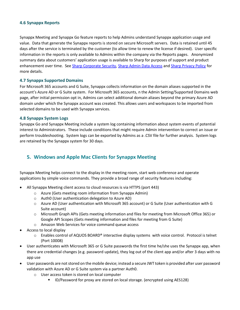#### <span id="page-9-0"></span>**4.6 Synappx Reports**

Synappx Meeting and Synappx Go feature reports to help Admins understand Synappx application usage and value. Data that generate the Synappx reports is stored on secure Microsoft servers. Data is retained until 45 days after the service is terminated by the customer (to allow time to renew the license if desired). User specific information in the reports is only available to Admins within the company via the Reports pages. Anonymized summary data about customers' application usage is available to Sharp for purposes of support and product enhancement over time. See [Sharp Corporate Security,](#page-15-0) [Sharp Admin Data Access](#page-16-0) and [Sharp Privacy Policy](#page-16-1) for more details.

#### **4.7 Synappx Supported Domains**

For Microsoft 365 accounts and G Suite, Synappx collects information on the domain aliases supported in the account's Azure AD or G Suite system. For Microsoft 365 accounts, n the Admin Setting/Supported Domains web page, after initial permission opt in, Admins can select additional domain aliases beyond the primary Azure AD domain under which the Synappx account was created. This allows users and workspaces to be imported from selected domains to be used with Synappx services.

#### **4.8 Synappx System Logs**

Synappx Go and Synappx Meeting include a system log containing information about system events of potential interest to Administrators. These include conditions that might require Admin intervention to correct an issue or perform troubleshooting. System logs can be exported by Admins as a .CSV file for further analysis. System logs are retained by the Synappx system for 30 days.

## <span id="page-9-1"></span>**5. Windows and Apple Mac Clients for Synappx Meeting**

Synappx Meeting helps connect to the display in the meeting room, start web conference and operate applications by simple voice commands. They provide a broad range of security features including:

- All Synappx Meeting client access to cloud resources is via HTTPS (port 443)
	- o Azure (Gets meeting room information from Synappx Admin)
	- o Auth0 (User authentication delegation to Azure AD)
	- o Azure AD (User authentication with Microsoft 365 account) or G Suite (User authentication with G Suite account)
	- o Microsoft Graph APIs (Gets meeting information and files for meeting from Microsoft Office 365) or Google API Scopes (Gets meeting information and files for meeting from G Suite)
	- o Amazon Web Services for voice command queue access
- Access to local display
	- $\circ$  Enables control of AQUOS BOARD® interactive display systems with voice control. Protocol is telnet (Port 10008)
- User authenticates with Microsoft 365 or G Suite passwords the first time he/she uses the Synappx app, when there are credential changes (e.g. password update), they log out of the client app and/or after 3 days with no app use
- User passwords are not stored on the mobile device; instead a secure JWT token is provided after user password validation with Azure AD or G Suite system via a partner Auth0.
	- o User access token is stored on local computer
		- ID/Password for proxy are stored on local storage. (encrypted using AES128)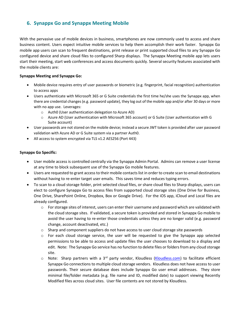# <span id="page-10-0"></span>**6. Synappx Go and Synappx Meeting Mobile**

With the pervasive use of mobile devices in business, smartphones are now commonly used to access and share business content. Users expect intuitive mobile services to help them accomplish their work faster. Synappx Go mobile app users can scan to frequent destinations, print release or print supported cloud files to any Synappx Go configured device and share cloud files to configured Sharp displays. The Synappx Meeting mobile app lets users start their meeting, start web conferences and access documents quickly. Several security features associated with the mobile clients are:

#### **Synappx Meeting and Synappx Go:**

- Mobile device requires entry of user passwords or biometric (e.g. fingerprint, facial recognition) authentication to access apps
- Users authenticate with Microsoft 365 or G Suite credentials the first time he/she uses the Synappx app, when there are credential changes (e.g. password update), they log out of the mobile app and/or after 30 days or more with no app use. Leverages:
	- o Auth0 (User authentication delegation to Azure AD)
	- o Azure AD (User authentication with Microsoft 365 account) or G Suite (User authentication with G Suite account)
- User passwords are not stored on the mobile device; instead a secure JWT token is provided after user password validation with Azure AD or G Suite system via a partner Auth0.
- All access to system encrypted via TLS v1.2 AES256 (Port 443)

#### **Synappx Go Specific:**

- User mobile access is controlled centrally via the Synappx Admin Portal. Admins can remove a user license at any time to block subsequent use of the Synappx Go mobile features.
- Users are requested to grant access to their mobile contacts list in order to create scan to email destinations without having to re-enter target user emails. This saves time and reduces typing errors.
- To scan to a cloud storage folder, print selected cloud files, or share cloud files to Sharp displays, users can elect to configure Synappx Go to access files from supported cloud storage sites (One Drive for Business, One Drive, SharePoint Online, Dropbox, Box or Google Drive). For the iOS app, iCloud and Local files are already configured.
	- $\circ$  For storage sites of interest, users can enter their username and password which are validated with the cloud storage sites. If validated, a secure token is provided and stored in Synappx Go mobile to avoid the user having to re-enter those credentials unless they are no longer valid (e.g. password change, account deactivated, etc.)
	- $\circ$  Sharp and component suppliers do not have access to user cloud storage site passwords
	- $\circ$  For each cloud storage service, the user will be requested to give the Synappx app selected permissions to be able to access and update files the user chooses to download to a display and edit. Note: The Synappx Go service has no function to delete files or folders from any cloud storage site.
	- o Note: Sharp partners with a 3<sup>rd</sup> party vendor, Kloudless [\(Kloudless.com\)](file:///C:/Users/matsudaa/AppData/Local/Microsoft/Windows/INetCache/Content.Outlook/633KKK5S/Kloudless.com) to facilitate efficient Synappx Go connections to multiple cloud storage vendors. Kloudless does not have access to user passwords. Their secure database does include Synappx Go user email addresses. They store minimal file/folder metadata (e.g. file name and ID, modified date) to support viewing Recently Modified files across cloud sites. User file contents are not stored by Kloudless.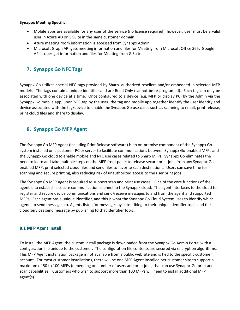#### **Synappx Meeting Specific:**

- Mobile apps are available for any user of the service (no license required); however, user must be a valid user in Azure AD or G Suite in the same customer domain.
- Azure meeting room information is accessed from Synappx Admin
- <span id="page-11-0"></span>• Microsoft Graph API gets meeting information and files for Meeting from Microsoft Office 365. Google API scopes get information and files for Meeting from G Suite.

## **7. Synappx Go NFC Tags**

Synappx Go utilizes special NFC tags provided by Sharp, authorized resellers and/or embedded in selected MFP models. The tags contain a unique identifier and are Read Only (cannot be re-programed). Each tag can only be associated with one device at a time. Once configured to a device (e.g. MFP or display PC) by the Admin via the Synappx Go mobile app, upon NFC tap by the user, the tag and mobile app together identify the user identity and device associated with the tag/device to enable the Synappx Go use cases such as scanning to email, print release, print cloud files and share to display.

### <span id="page-11-1"></span>**8. Synappx Go MFP Agent**

The Synappx Go MFP Agent (including Print Release software) is an on-premise component of the Synappx Go system installed on a customer PC or server to facilitate communications between Synappx Go-enabled MFPs and the Synappx Go cloud to enable mobile and NFC use cases related to Sharp MFPs. Synappx Go eliminates the need to learn and take multiple steps on the MFP front panel to release secure print jobs from any Synappx Go enabled MFP, print selected cloud files and send files to favorite scan destinations. Users can save time for scanning and secure printing, also reducing risk of unauthorized access to the user print jobs.

The Synappx Go MFP Agent is required to support scan and print use cases. One of the core functions of the agent is to establish a secure communication channel to the Synappx cloud. The agent interfaces to the cloud to register and secure device communications and send/receive messages to and from the agent and supported MFPs. Each agent has a unique identifier, and this is what the Synappx Go Cloud System uses to identify which agents to send messages to. Agents listen for messages by subscribing to their unique identifier topic and the cloud services send message by publishing to that identifier topic.

#### <span id="page-11-2"></span>**8.1 MFP Agent Install**

To install the MFP Agent, the custom install package is downloaded from the Synappx Go Admin Portal with a configuration file unique to the customer. The configuration file contents are secured via encryption algorithms. This MFP Agent installation package is not available from a public web site and is tied to the specific customer account. For most customer installations, there will be one MFP Agent installed per customer site to support a maximum of 50 to 100 MFPs (depending on number of users and print jobs) that can use Synappx Go print and scan capabilities. Customers who wish to support more than 100 MFPs will need to install additional MFP agent(s).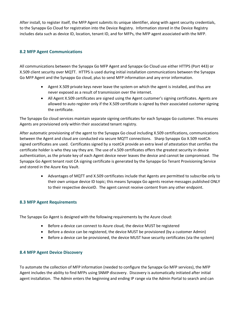After install, to register itself, the MFP Agent submits its unique identifier, along with agent security credentials, to the Synappx Go Cloud for registration into the Device Registry. Information stored in the Device Registry includes data such as device ID, location, tenant ID, and for MFPs, the MFP agent associated with the MFP.

#### <span id="page-12-0"></span>**8.2 MFP Agent Communications**

All communications between the Synappx Go MFP Agent and Synappx Go Cloud use either HTTPS (Port 443) or X.509 client security over MQTT. HTTPS is used during initial installation communications between the Synappx Go MFP Agent and the Synappx Go cloud, plus to send MFP information and any error information.

- Agent X.509 private keys never leave the system on which the agent is installed, and thus are never exposed as a result of transmission over the internet.
- All Agent X.509 certificates are signed using the Agent customer's signing certificates. Agents are allowed to auto register only if the X.509 certificate is signed by their associated customer signing the certificate.

The Synappx Go cloud services maintain separate signing certificates for each Synappx Go customer. This ensures Agents are provisioned only within their associated tenant registry.

After automatic provisioning of the agent to the Synappx Go cloud including X.509 certifications, communications between the Agent and cloud are conducted via secure MQTT connections. Sharp Synappx Go X.509 rootCAsigned certificates are used. Certificates signed by a rootCA provide an extra level of attestation that certifies the certificate holder is who they say they are. The use of x.509 certificates offers the greatest security in device authentication, as the private key of each Agent device never leaves the device and cannot be compromised. The Synappx Go Agent tenant root CA signing certificate is generated by the Synappx Go Tenant Provisioning Service and stored in the Azure Key Vault.

> • Advantages of MQTT and X.509 certificates include that Agents are permitted to subscribe only to their own unique device ID topic; this means Synappx Go agents receive messages published ONLY to their respective deviceID. The agent cannot receive content from any other endpoint.

#### <span id="page-12-1"></span>**8.3 MFP Agent Requirements**

The Synappx Go Agent is designed with the following requirements by the Azure cloud:

- Before a device can connect to Azure cloud, the device MUST be registered
- Before a device can be registered, the device MUST be provisioned (by a customer Admin)
- Before a device can be provisioned, the device MUST have security certificates (via the system)

#### <span id="page-12-2"></span>**8.4 MFP Agent Device Discovery**

To automate the collection of MFP information (needed to configure the Synappx Go MFP services), the MFP Agent includes the ability to find MFPs using SNMP discovery. Discovery is automatically initiated after initial agent installation. The Admin enters the beginning and ending IP range via the Admin Portal to search and can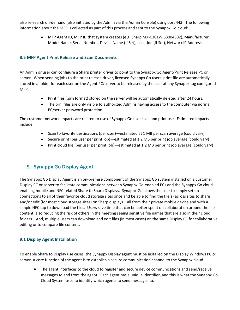also re-search on-demand (also initiated by the Admin via the Admin Console) using port 443. The following information about the MFP is collected as part of this process and sent to the Synappx Go cloud:

> • MFP Agent ID, MFP ID that system creates (e.g. Sharp MX-C301W 63004882), Manufacturer, Model Name, Serial Number, Device Name (If Set), Location (If Set), Network IP Address

#### <span id="page-13-0"></span>**8.5 MFP Agent Print Release and Scan Documents**

An Admin or user can configure a Sharp printer driver to point to the Synappx Go Agent/Print Release PC or server. When sending jobs to the print release driver, licensed Synappx Go users' print file are automatically stored in a folder for each user on the Agent PC/server to be released by the user at any Synappx tag configured MFP.

- Print files (.prn format) stored on the server will be automatically deleted after 24 hours.
- The prn. files are only visible to authorized Admins having access to the computer via normal PC/server password protection.

The customer network impacts are related to use of Synappx Go user scan and print use. Estimated impacts include:

- Scan to favorite destinations (per user)—estimated at 1 MB per scan average (could vary)
- Secure print (per user per print job)—estimated at 1.2 MB per print job average (could vary)
- Print cloud file (per user per print job)—estimated at 1.2 MB per print job average (could vary)

# <span id="page-13-1"></span>**9. Synappx Go Display Agent**

The Synappx Go Display Agent is an on-premise component of the Synappx Go system installed on a customer Display PC or server to facilitate communications between Synappx Go-enabled PCs and the Synappx Go cloud enabling mobile and NFC related Share to Sharp Displays. Synappx Go allows the user to simply set up connections to all of their favorite cloud storage sites once and be able to find the file(s) across sites to share and/or edit (for most cloud storage sites) on Sharp displays—all from their private mobile device and with a simple NFC tap to download the files. Users save time that can be better spent on collaboration around the file content, also reducing the risk of others in the meeting seeing sensitive file names that are also in their cloud folders. And, multiple users can download and edit files (in most cases) on the same Display PC for collaborative editing or to compare file content.

#### <span id="page-13-2"></span>**9.1 Display Agent Installation**

To enable Share to Display use cases, the Synappx Display agent must be installed on the Display Windows PC or server. A core function of the agent is to establish a secure communication channel to the Synappx cloud.

• The agent interfaces to the cloud to register and secure device communications and send/receive messages to and from the agent. Each agent has a unique identifier, and this is what the Synappx Go Cloud System uses to identify which agents to send messages to.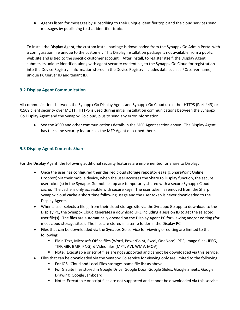• Agents listen for messages by subscribing to their unique identifier topic and the cloud services send messages by publishing to that identifier topic.

To install the Display Agent, the custom install package is downloaded from the Synappx Go Admin Portal with a configuration file unique to the customer. This Display installation package is not available from a public web site and is tied to the specific customer account. After install, to register itself, the Display Agent submits its unique identifier, along with agent security credentials, to the Synappx Go Cloud for registration into the Device Registry. Information stored in the Device Registry includes data such as PC/server name, unique PC/server ID and tenant ID.

#### <span id="page-14-0"></span>**9.2 Display Agent Communication**

All communications between the Synappx Go Display Agent and Synappx Go Cloud use either HTTPS (Port 443) or X.509 client security over MQTT. HTTPS is used during initial installation communications between the Synappx Go Display Agent and the Synappx Go cloud, plus to send any error information.

• See the X509 and other communications details in the MFP Agent section above. The Display Agent has the same security features as the MFP Agent described there.

#### <span id="page-14-1"></span>**9.3 Display Agent Contents Share**

For the Display Agent, the following additional security features are implemented for Share to Display:

- Once the user has configured their desired cloud storage repositories (e.g. SharePoint Online, Dropbox) via their mobile device, when the user accesses the Share to Display function, the secure user token(s) in the Synappx Go mobile app are temporarily shared with a secure Synappx Cloud cache. The cache is only accessible with secure keys. The user token is removed from the Sharp Synappx cloud cache a short time following usage and the user token is never downloaded to the Display Agents.
- When a user selects a file(s) from their cloud storage site via the Synappx Go app to download to the Display PC, the Synappx Cloud generates a download URL including a session ID to get the selected user file(s). The files are automatically opened on the Display Agent PC for viewing and/or editing (for most cloud storage sites). The files are stored in a temp folder in the Display PC.
- Files that can be downloaded via the Synappx Go service for viewing or editing are limited to the following:
	- Plain Text, Microsoft Office files (Word, PowerPoint, Excel, OneNote), PDF, Image files (JPEG, TIFF, GIF, BMP, PNG) & Video files (MP4, AVI, WMV, MOV)
	- Note: Executable or script files are not supported and cannot be downloaded via this service.
- Files that can be downloaded via the Synappx Go service for viewing only are limited to the following:
	- For iOS, iCloud and Local Files storage: same file list as above
	- For G Suite files stored in Google Drive: Google Docs, Google Slides, Google Sheets, Google Drawing, Google Jamboard
	- Note: Executable or script files are not supported and cannot be downloaded via this service.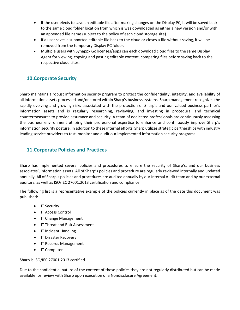- If the user elects to save an editable file after making changes on the Display PC, it will be saved back to the same cloud folder location from which is was downloaded as either a new version and/or with an appended file name (subject to the policy of each cloud storage site).
- If a user saves a supported editable file back to the cloud or closes a file without saving, it will be removed from the temporary Display PC folder.
- Multiple users with Synappx Go licenses/apps can each download cloud files to the same Display Agent for viewing, copying and pasting editable content, comparing files before saving back to the respective cloud sites.

# <span id="page-15-0"></span>**10.Corporate Security**

Sharp maintains a robust information security program to protect the confidentiality, integrity, and availability of all information assets processed and/or stored within Sharp's business systems. Sharp management recognizes the rapidly evolving and growing risks associated with the protection of Sharp's and our valued business partner's information assets and is regularly researching, reviewing, and investing in procedural and technical countermeasures to provide assurance and security. A team of dedicated professionals are continuously assessing the business environment utilizing their professional expertise to enhance and continuously improve Sharp's information security posture. In addition to these internal efforts, Sharp utilizes strategic partnerships with industry leading service providers to test, monitor and audit our implemented information security programs.

# <span id="page-15-1"></span>**11.Corporate Policies and Practices**

Sharp has implemented several policies and procedures to ensure the security of Sharp's, and our business associates', information assets. All of Sharp's policies and procedure are regularly reviewed internally and updated annually. All of Sharp's policies and procedures are audited annually by our Internal Audit team and by our external auditors, as well as ISO/IEC 27001:2013 certification and compliance.

The following list is a representative example of the policies currently in place as of the date this document was published:

- IT Security
- IT Access Control
- IT Change Management
- IT Threat and Risk Assessment
- IT Incident Handling
- IT Disaster Recovery
- IT Records Management
- IT Computer

#### Sharp is ISO/IEC 27001:2013 certified

Due to the confidential nature of the content of these policies they are not regularly distributed but can be made available for review with Sharp upon execution of a Nondisclosure Agreement.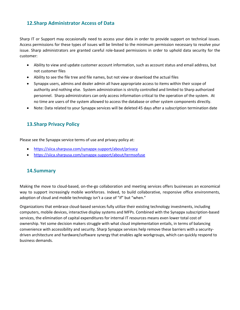# <span id="page-16-0"></span>**12.Sharp Administrator Access of Data**

Sharp IT or Support may occasionally need to access your data in order to provide support on technical issues. Access permissions for these types of issues will be limited to the minimum permission necessary to resolve your issue. Sharp administrators are granted careful role-based permissions in order to uphold data security for the customer:

- Ability to view and update customer account information, such as account status and email address, but not customer files
- Ability to see the file tree and file names, but not view or download the actual files
- Synappx users, admins and dealer admin all have appropriate access to items within their scope of authority and nothing else. System administration is strictly controlled and limited to Sharp authorized personnel. Sharp administrators can only access information critical to the operation of the system. At no time are users of the system allowed to access the database or other system components directly.
- Note: Data related to your Synappx services will be deleted 45 days after a subscription termination date

# <span id="page-16-1"></span>**13.Sharp Privacy Policy**

Please see the Synappx service terms of use and privacy policy at:

- <https://siica.sharpusa.com/synappx-support/about/privacy>
- <https://siica.sharpusa.com/synappx-support/about/termsofuse>

## <span id="page-16-2"></span>**14.Summary**

Making the move to cloud-based, on-the-go collaboration and meeting services offers businesses an economical way to support increasingly mobile workforces. Indeed, to build collaborative, responsive office environments, adoption of cloud and mobile technology isn't a case of "if" but "when."

Organizations that embrace cloud-based services fully utilize their existing technology investments, including computers, mobile devices, interactive display systems and MFPs. Combined with the Synappx subscription-based services, the elimination of capital expenditures for internal IT resources means even lower total cost of ownership. Yet some decision makers struggle with what cloud implementation entails, in terms of balancing convenience with accessibility and security. Sharp Synappx services help remove these barriers with a securitydriven architecture and hardware/software synergy that enables agile workgroups, which can quickly respond to business demands.